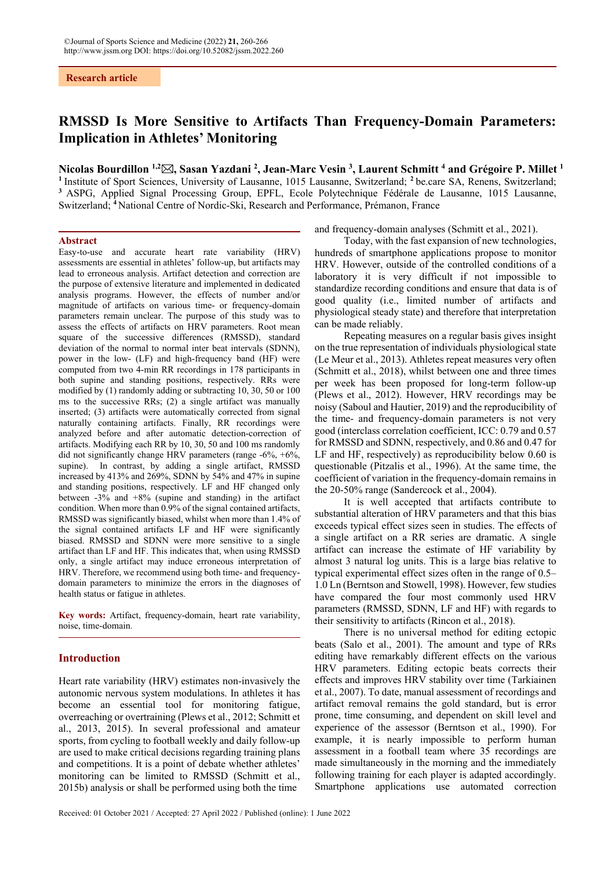**Research article**

# **RMSSD Is More Sensitive to Artifacts Than Frequency-Domain Parameters: Implication in Athletes' Monitoring**

# **Nicolas Bourdillon 1,2, Sasan Yazdani 2 , Jean-Marc Vesin 3 , Laurent Schmitt 4 and Grégoire P. Millet 1**

**<sup>1</sup>** Institute of Sport Sciences, University of Lausanne, 1015 Lausanne, Switzerland; **<sup>2</sup>** be.care SA, Renens, Switzerland; **<sup>3</sup>** ASPG, Applied Signal Processing Group, EPFL, Ecole Polytechnique Fédérale de Lausanne, 1015 Lausanne, Switzerland; **<sup>4</sup>**National Centre of Nordic-Ski, Research and Performance, Prémanon, France

#### **Abstract**

Easy-to-use and accurate heart rate variability (HRV) assessments are essential in athletes' follow-up, but artifacts may lead to erroneous analysis. Artifact detection and correction are the purpose of extensive literature and implemented in dedicated analysis programs. However, the effects of number and/or magnitude of artifacts on various time- or frequency-domain parameters remain unclear. The purpose of this study was to assess the effects of artifacts on HRV parameters. Root mean square of the successive differences (RMSSD), standard deviation of the normal to normal inter beat intervals (SDNN), power in the low- (LF) and high-frequency band (HF) were computed from two 4-min RR recordings in 178 participants in both supine and standing positions, respectively. RRs were modified by (1) randomly adding or subtracting 10, 30, 50 or 100 ms to the successive RRs; (2) a single artifact was manually inserted; (3) artifacts were automatically corrected from signal naturally containing artifacts. Finally, RR recordings were analyzed before and after automatic detection-correction of artifacts. Modifying each RR by 10, 30, 50 and 100 ms randomly did not significantly change HRV parameters (range -6%, +6%, supine). In contrast, by adding a single artifact, RMSSD increased by 413% and 269%, SDNN by 54% and 47% in supine and standing positions, respectively. LF and HF changed only between -3% and +8% (supine and standing) in the artifact condition. When more than 0.9% of the signal contained artifacts, RMSSD was significantly biased, whilst when more than 1.4% of the signal contained artifacts LF and HF were significantly biased. RMSSD and SDNN were more sensitive to a single artifact than LF and HF. This indicates that, when using RMSSD only, a single artifact may induce erroneous interpretation of HRV. Therefore, we recommend using both time- and frequencydomain parameters to minimize the errors in the diagnoses of health status or fatigue in athletes.

**Key words:** Artifact, frequency-domain, heart rate variability, noise, time-domain.

# **Introduction**

Heart rate variability (HRV) estimates non-invasively the autonomic nervous system modulations. In athletes it has become an essential tool for monitoring fatigue, overreaching or overtraining (Plews et al., 2012; Schmitt et al., 2013, 2015). In several professional and amateur sports, from cycling to football weekly and daily follow-up are used to make critical decisions regarding training plans and competitions. It is a point of debate whether athletes' monitoring can be limited to RMSSD (Schmitt et al., 2015b) analysis or shall be performed using both the time

and frequency-domain analyses (Schmitt et al., 2021).

Today, with the fast expansion of new technologies, hundreds of smartphone applications propose to monitor HRV. However, outside of the controlled conditions of a laboratory it is very difficult if not impossible to standardize recording conditions and ensure that data is of good quality (i.e., limited number of artifacts and physiological steady state) and therefore that interpretation can be made reliably.

Repeating measures on a regular basis gives insight on the true representation of individuals physiological state (Le Meur et al., 2013). Athletes repeat measures very often (Schmitt et al., 2018), whilst between one and three times per week has been proposed for long-term follow-up (Plews et al., 2012). However, HRV recordings may be noisy (Saboul and Hautier, 2019) and the reproducibility of the time- and frequency-domain parameters is not very good (interclass correlation coefficient, ICC: 0.79 and 0.57 for RMSSD and SDNN, respectively, and 0.86 and 0.47 for LF and HF, respectively) as reproducibility below 0.60 is questionable (Pitzalis et al., 1996). At the same time, the coefficient of variation in the frequency-domain remains in the 20-50% range (Sandercock et al., 2004).

It is well accepted that artifacts contribute to substantial alteration of HRV parameters and that this bias exceeds typical effect sizes seen in studies. The effects of a single artifact on a RR series are dramatic. A single artifact can increase the estimate of HF variability by almost 3 natural log units. This is a large bias relative to typical experimental effect sizes often in the range of 0.5– 1.0 Ln (Berntson and Stowell, 1998). However, few studies have compared the four most commonly used HRV parameters (RMSSD, SDNN, LF and HF) with regards to their sensitivity to artifacts (Rincon et al., 2018).

There is no universal method for editing ectopic beats (Salo et al., 2001). The amount and type of RRs editing have remarkably different effects on the various HRV parameters. Editing ectopic beats corrects their effects and improves HRV stability over time (Tarkiainen et al., 2007). To date, manual assessment of recordings and artifact removal remains the gold standard, but is error prone, time consuming, and dependent on skill level and experience of the assessor (Berntson et al., 1990). For example, it is nearly impossible to perform human assessment in a football team where 35 recordings are made simultaneously in the morning and the immediately following training for each player is adapted accordingly. Smartphone applications use automated correction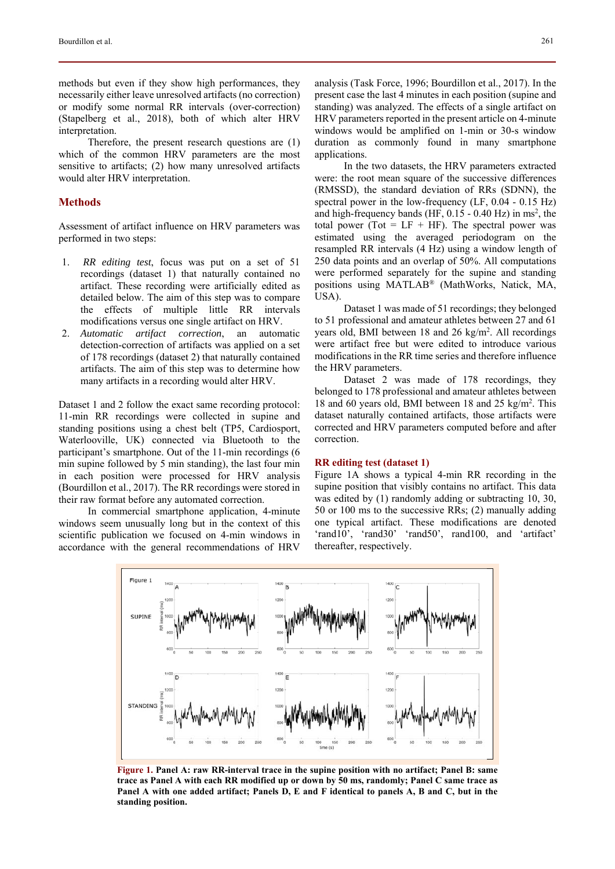methods but even if they show high performances, they necessarily either leave unresolved artifacts (no correction) or modify some normal RR intervals (over-correction) (Stapelberg et al., 2018), both of which alter HRV interpretation.

Therefore, the present research questions are (1) which of the common HRV parameters are the most sensitive to artifacts; (2) how many unresolved artifacts would alter HRV interpretation.

# **Methods**

Assessment of artifact influence on HRV parameters was performed in two steps:

- 1. *RR editing test*, focus was put on a set of 51 recordings (dataset 1) that naturally contained no artifact. These recording were artificially edited as detailed below. The aim of this step was to compare the effects of multiple little RR intervals modifications versus one single artifact on HRV.
- 2. *Automatic artifact correction*, an automatic detection-correction of artifacts was applied on a set of 178 recordings (dataset 2) that naturally contained artifacts. The aim of this step was to determine how many artifacts in a recording would alter HRV.

Dataset 1 and 2 follow the exact same recording protocol: 11-min RR recordings were collected in supine and standing positions using a chest belt (TP5, Cardiosport, Waterlooville, UK) connected via Bluetooth to the participant's smartphone. Out of the 11-min recordings (6 min supine followed by 5 min standing), the last four min in each position were processed for HRV analysis (Bourdillon et al., 2017). The RR recordings were stored in their raw format before any automated correction.

In commercial smartphone application, 4-minute windows seem unusually long but in the context of this scientific publication we focused on 4-min windows in accordance with the general recommendations of HRV

analysis (Task Force, 1996; Bourdillon et al., 2017). In the present case the last 4 minutes in each position (supine and standing) was analyzed. The effects of a single artifact on HRV parameters reported in the present article on 4-minute windows would be amplified on 1-min or 30-s window duration as commonly found in many smartphone applications.

In the two datasets, the HRV parameters extracted were: the root mean square of the successive differences (RMSSD), the standard deviation of RRs (SDNN), the spectral power in the low-frequency (LF, 0.04 - 0.15 Hz) and high-frequency bands (HF,  $0.15 - 0.40$  Hz) in ms<sup>2</sup>, the total power (Tot =  $LF + HF$ ). The spectral power was estimated using the averaged periodogram on the resampled RR intervals (4 Hz) using a window length of 250 data points and an overlap of 50%. All computations were performed separately for the supine and standing positions using MATLAB® (MathWorks, Natick, MA, USA).

Dataset 1 was made of 51 recordings; they belonged to 51 professional and amateur athletes between 27 and 61 years old, BMI between 18 and 26 kg/m<sup>2</sup>. All recordings were artifact free but were edited to introduce various modifications in the RR time series and therefore influence the HRV parameters.

Dataset 2 was made of 178 recordings, they belonged to 178 professional and amateur athletes between 18 and 60 years old, BMI between 18 and 25 kg/m<sup>2</sup>. This dataset naturally contained artifacts, those artifacts were corrected and HRV parameters computed before and after correction.

#### **RR editing test (dataset 1)**

Figure 1A shows a typical 4-min RR recording in the supine position that visibly contains no artifact. This data was edited by (1) randomly adding or subtracting 10, 30, 50 or 100 ms to the successive RRs; (2) manually adding one typical artifact. These modifications are denoted 'rand10', 'rand30' 'rand50', rand100, and 'artifact' thereafter, respectively.



**Figure 1. Panel A: raw RR-interval trace in the supine position with no artifact; Panel B: same trace as Panel A with each RR modified up or down by 50 ms, randomly; Panel C same trace as Panel A with one added artifact; Panels D, E and F identical to panels A, B and C, but in the standing position.**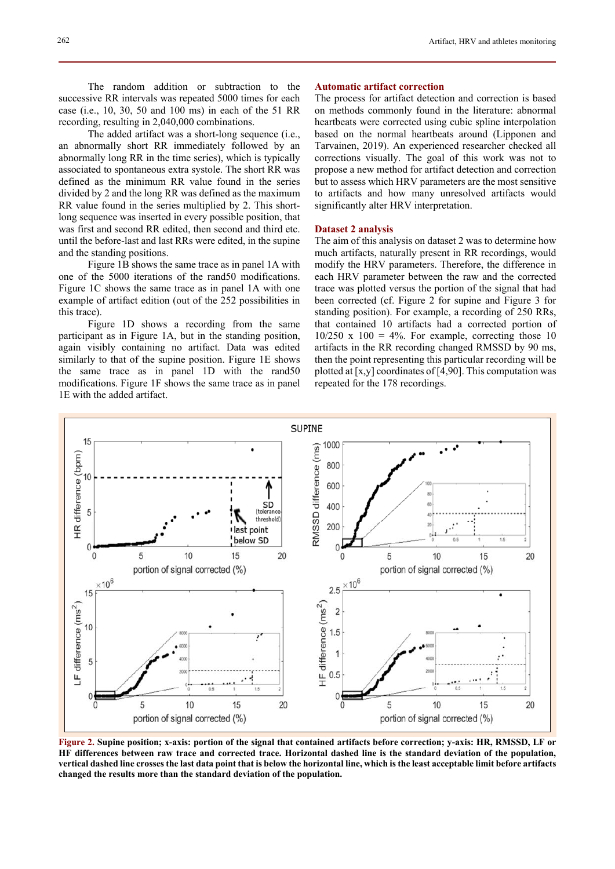The random addition or subtraction to the successive RR intervals was repeated 5000 times for each case (i.e., 10, 30, 50 and 100 ms) in each of the 51 RR

recording, resulting in 2,040,000 combinations. The added artifact was a short-long sequence (i.e., an abnormally short RR immediately followed by an abnormally long RR in the time series), which is typically associated to spontaneous extra systole. The short RR was defined as the minimum RR value found in the series divided by 2 and the long RR was defined as the maximum RR value found in the series multiplied by 2. This shortlong sequence was inserted in every possible position, that was first and second RR edited, then second and third etc. until the before-last and last RRs were edited, in the supine and the standing positions.

Figure 1B shows the same trace as in panel 1A with one of the 5000 iterations of the rand50 modifications. Figure 1C shows the same trace as in panel 1A with one example of artifact edition (out of the 252 possibilities in this trace).

Figure 1D shows a recording from the same participant as in Figure 1A, but in the standing position, again visibly containing no artifact. Data was edited similarly to that of the supine position. Figure 1E shows the same trace as in panel 1D with the rand50 modifications. Figure 1F shows the same trace as in panel 1E with the added artifact.

#### **Automatic artifact correction**

The process for artifact detection and correction is based on methods commonly found in the literature: abnormal heartbeats were corrected using cubic spline interpolation based on the normal heartbeats around (Lipponen and Tarvainen, 2019). An experienced researcher checked all corrections visually. The goal of this work was not to propose a new method for artifact detection and correction but to assess which HRV parameters are the most sensitive to artifacts and how many unresolved artifacts would significantly alter HRV interpretation.

#### **Dataset 2 analysis**

The aim of this analysis on dataset 2 was to determine how much artifacts, naturally present in RR recordings, would modify the HRV parameters. Therefore, the difference in each HRV parameter between the raw and the corrected trace was plotted versus the portion of the signal that had been corrected (cf. Figure 2 for supine and Figure 3 for standing position). For example, a recording of 250 RRs, that contained 10 artifacts had a corrected portion of  $10/250$  x  $100 = 4\%$ . For example, correcting those 10 artifacts in the RR recording changed RMSSD by 90 ms, then the point representing this particular recording will be plotted at  $[x,y]$  coordinates of  $[4,90]$ . This computation was repeated for the 178 recordings.



**Figure 2. Supine position; x-axis: portion of the signal that contained artifacts before correction; y-axis: HR, RMSSD, LF or HF differences between raw trace and corrected trace. Horizontal dashed line is the standard deviation of the population, vertical dashed line crosses the last data point that is below the horizontal line, which is the least acceptable limit before artifacts changed the results more than the standard deviation of the population.**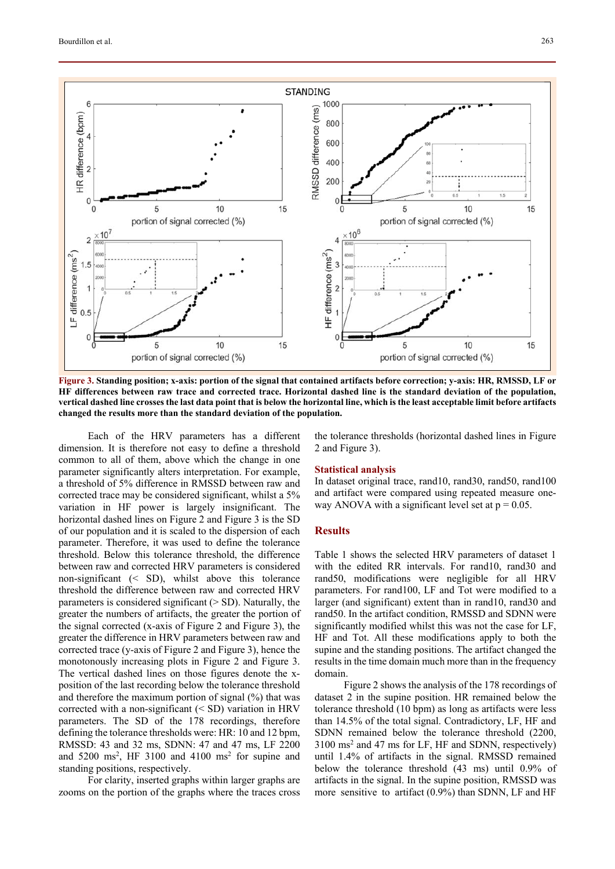

**Figure 3. Standing position; x-axis: portion of the signal that contained artifacts before correction; y-axis: HR, RMSSD, LF or HF differences between raw trace and corrected trace. Horizontal dashed line is the standard deviation of the population, vertical dashed line crosses the last data point that is below the horizontal line, which is the least acceptable limit before artifacts changed the results more than the standard deviation of the population.** 

Each of the HRV parameters has a different dimension. It is therefore not easy to define a threshold common to all of them, above which the change in one parameter significantly alters interpretation. For example, a threshold of 5% difference in RMSSD between raw and corrected trace may be considered significant, whilst a 5% variation in HF power is largely insignificant. The horizontal dashed lines on Figure 2 and Figure 3 is the SD of our population and it is scaled to the dispersion of each parameter. Therefore, it was used to define the tolerance threshold. Below this tolerance threshold, the difference between raw and corrected HRV parameters is considered non-significant (< SD), whilst above this tolerance threshold the difference between raw and corrected HRV parameters is considered significant  $(> SD)$ . Naturally, the greater the numbers of artifacts, the greater the portion of the signal corrected (x-axis of Figure 2 and Figure 3), the greater the difference in HRV parameters between raw and corrected trace (y-axis of Figure 2 and Figure 3), hence the monotonously increasing plots in Figure 2 and Figure 3. The vertical dashed lines on those figures denote the xposition of the last recording below the tolerance threshold and therefore the maximum portion of signal (%) that was corrected with a non-significant (< SD) variation in HRV parameters. The SD of the 178 recordings, therefore defining the tolerance thresholds were: HR: 10 and 12 bpm, RMSSD: 43 and 32 ms, SDNN: 47 and 47 ms, LF 2200 and  $5200 \text{ ms}^2$ , HF  $3100$  and  $4100 \text{ ms}^2$  for supine and standing positions, respectively.

For clarity, inserted graphs within larger graphs are zooms on the portion of the graphs where the traces cross

the tolerance thresholds (horizontal dashed lines in Figure 2 and Figure 3).

## **Statistical analysis**

In dataset original trace, rand10, rand30, rand50, rand100 and artifact were compared using repeated measure oneway ANOVA with a significant level set at  $p = 0.05$ .

# **Results**

Table 1 shows the selected HRV parameters of dataset 1 with the edited RR intervals. For rand10, rand30 and rand50, modifications were negligible for all HRV parameters. For rand100, LF and Tot were modified to a larger (and significant) extent than in rand10, rand30 and rand50. In the artifact condition, RMSSD and SDNN were significantly modified whilst this was not the case for LF, HF and Tot. All these modifications apply to both the supine and the standing positions. The artifact changed the results in the time domain much more than in the frequency domain.

Figure 2 shows the analysis of the 178 recordings of dataset 2 in the supine position. HR remained below the tolerance threshold (10 bpm) as long as artifacts were less than 14.5% of the total signal. Contradictory, LF, HF and SDNN remained below the tolerance threshold (2200, 3100 ms2 and 47 ms for LF, HF and SDNN, respectively) until 1.4% of artifacts in the signal. RMSSD remained below the tolerance threshold (43 ms) until 0.9% of artifacts in the signal. In the supine position, RMSSD was more sensitive to artifact (0.9%) than SDNN, LF and HF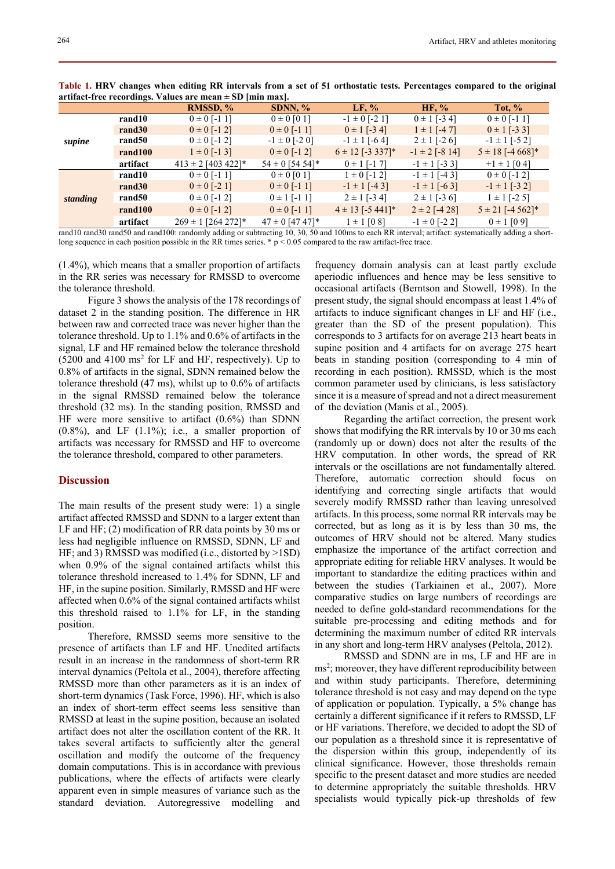|          | at that the recordings. Values are intended fund maxi- |                                                                                                                                                                                                                                        |                     |                      |                    |                      |  |
|----------|--------------------------------------------------------|----------------------------------------------------------------------------------------------------------------------------------------------------------------------------------------------------------------------------------------|---------------------|----------------------|--------------------|----------------------|--|
|          |                                                        | RMSSD, %                                                                                                                                                                                                                               | SDNN, $%$           | LF, %                | HF, %              | Tot, $%$             |  |
| supine   | rand10                                                 | $0 \pm 0$ [-1 1]                                                                                                                                                                                                                       | $0 \pm 0$ [0 1]     | $-1 \pm 0$ [-2 1]    | $0 \pm 1$ [-3.4]   | $0 \pm 0$ [-1 1]     |  |
|          | rand30                                                 | $0 \pm 0$ [-1.2]                                                                                                                                                                                                                       | $0 \pm 0$ [-1 1]    | $0 \pm 1$ [-3.4]     | $1 \pm 1$ [-4.7]   | $0 \pm 1$ [-3 3]     |  |
|          | rand50                                                 | $0 \pm 0$ [-1.2]                                                                                                                                                                                                                       | $-1 \pm 0$ [-2 0]   | $-1 \pm 1$ [-6.4]    | $2 \pm 1$ [-2.6]   | $-1 \pm 1$ [-5 2]    |  |
|          | rand100                                                | $1 \pm 0$ [-1 3]                                                                                                                                                                                                                       | $0 \pm 0$ [-1.2]    | $6 \pm 12$ [-3 337]* | $-1 \pm 2$ [-8 14] | $5 \pm 18$ [-4 668]* |  |
|          | artifact                                               | $413 \pm 2$ [403 422]*                                                                                                                                                                                                                 | $54 \pm 0$ [54 54]* | $0 \pm 1$ [-1.7]     | $-1 \pm 1$ [-3 3]  | $+1 \pm 1$ [0.4]     |  |
| standing | rand10                                                 | $0 \pm 0$ [-1 1]                                                                                                                                                                                                                       | $0 \pm 0$ [0 1]     | $1 \pm 0$ [-1.2]     | $-1 \pm 1$ [-4 3]  | $0 \pm 0$ [-1.2]     |  |
|          | rand30                                                 | $0 \pm 0$ [-2 1]                                                                                                                                                                                                                       | $0 \pm 0$ [-1 1]    | $-1 \pm 1$ [-43]     | $-1 \pm 1$ [-6.3]  | $-1 \pm 1$ [-3 2]    |  |
|          | rand50                                                 | $0 \pm 0$ [-1.2]                                                                                                                                                                                                                       | $0 \pm 1$ [-1 1]    | $2 \pm 1$ [-3.4]     | $2 \pm 1$ [-3.6]   | $1 \pm 1$ [-2.5]     |  |
|          | rand100                                                | $0 \pm 0$ [-1 2]                                                                                                                                                                                                                       | $0 \pm 0$ [-1 1]    | $4 \pm 13$ [-5 441]* | $2 \pm 2$ [-4.28]  | $5 \pm 21$ [-4 562]* |  |
|          | artifact                                               | $269 \pm 1$ [264 272]*<br>$10, 20, 410, $ 120, $150, $ 1 $100, $ 1100, $11$ 11. $11$ 11. $11$ 1. $10, 20, 50, $ 1. $100$ $11$ $100$ 1. $100$ 1. $100$ 1. $100$ 1. $100$ 1. $100$ 1. $100$ 1. $100$ 1. $100$ 1. $100$ 1. $100$ 1. $100$ | $47 \pm 0$ [47 47]* | $1 \pm 1$ [0.8]      | $-1 \pm 0$ [-2.2]  | $0 \pm 1$ [0.9]      |  |

**Table 1. HRV changes when editing RR intervals from a set of 51 orthostatic tests. Percentages compared to the original artifact-free recordings. Values are mean ± SD [min max].** 

rand10 rand30 rand50 and rand100: randomly adding or subtracting 10, 30, 50 and 100ms to each RR interval; artifact: systematically adding a shortlong sequence in each position possible in the RR times series. \*  $p < 0.05$  compared to the raw artifact-free trace.

(1.4%), which means that a smaller proportion of artifacts in the RR series was necessary for RMSSD to overcome the tolerance threshold.

Figure 3 shows the analysis of the 178 recordings of dataset 2 in the standing position. The difference in HR between raw and corrected trace was never higher than the tolerance threshold. Up to 1.1% and 0.6% of artifacts in the signal, LF and HF remained below the tolerance threshold  $(5200 \text{ and } 4100 \text{ ms}^2 \text{ for LF and HF, respectively})$ . Up to 0.8% of artifacts in the signal, SDNN remained below the tolerance threshold (47 ms), whilst up to 0.6% of artifacts in the signal RMSSD remained below the tolerance threshold (32 ms). In the standing position, RMSSD and HF were more sensitive to artifact (0.6%) than SDNN  $(0.8\%)$ , and LF  $(1.1\%)$ ; i.e., a smaller proportion of artifacts was necessary for RMSSD and HF to overcome the tolerance threshold, compared to other parameters.

# **Discussion**

The main results of the present study were: 1) a single artifact affected RMSSD and SDNN to a larger extent than LF and HF; (2) modification of RR data points by 30 ms or less had negligible influence on RMSSD, SDNN, LF and HF; and 3) RMSSD was modified (i.e., distorted by >1SD) when 0.9% of the signal contained artifacts whilst this tolerance threshold increased to 1.4% for SDNN, LF and HF, in the supine position. Similarly, RMSSD and HF were affected when 0.6% of the signal contained artifacts whilst this threshold raised to 1.1% for LF, in the standing position.

Therefore, RMSSD seems more sensitive to the presence of artifacts than LF and HF. Unedited artifacts result in an increase in the randomness of short-term RR interval dynamics (Peltola et al., 2004), therefore affecting RMSSD more than other parameters as it is an index of short-term dynamics (Task Force, 1996). HF, which is also an index of short-term effect seems less sensitive than RMSSD at least in the supine position, because an isolated artifact does not alter the oscillation content of the RR. It takes several artifacts to sufficiently alter the general oscillation and modify the outcome of the frequency domain computations. This is in accordance with previous publications, where the effects of artifacts were clearly apparent even in simple measures of variance such as the standard deviation. Autoregressive modelling and

frequency domain analysis can at least partly exclude aperiodic influences and hence may be less sensitive to occasional artifacts (Berntson and Stowell, 1998). In the present study, the signal should encompass at least 1.4% of artifacts to induce significant changes in LF and HF (i.e., greater than the SD of the present population). This corresponds to 3 artifacts for on average 213 heart beats in supine position and 4 artifacts for on average 275 heart beats in standing position (corresponding to 4 min of recording in each position). RMSSD, which is the most common parameter used by clinicians, is less satisfactory since it is a measure of spread and not a direct measurement of the deviation (Manis et al., 2005).

Regarding the artifact correction, the present work shows that modifying the RR intervals by 10 or 30 ms each (randomly up or down) does not alter the results of the HRV computation. In other words, the spread of RR intervals or the oscillations are not fundamentally altered. Therefore, automatic correction should focus on identifying and correcting single artifacts that would severely modify RMSSD rather than leaving unresolved artifacts. In this process, some normal RR intervals may be corrected, but as long as it is by less than 30 ms, the outcomes of HRV should not be altered. Many studies emphasize the importance of the artifact correction and appropriate editing for reliable HRV analyses. It would be important to standardize the editing practices within and between the studies (Tarkiainen et al., 2007). More comparative studies on large numbers of recordings are needed to define gold-standard recommendations for the suitable pre-processing and editing methods and for determining the maximum number of edited RR intervals in any short and long-term HRV analyses (Peltola, 2012).

RMSSD and SDNN are in ms, LF and HF are in ms<sup>2</sup>; moreover, they have different reproducibility between and within study participants. Therefore, determining tolerance threshold is not easy and may depend on the type of application or population. Typically, a 5% change has certainly a different significance if it refers to RMSSD, LF or HF variations. Therefore, we decided to adopt the SD of our population as a threshold since it is representative of the dispersion within this group, independently of its clinical significance. However, those thresholds remain specific to the present dataset and more studies are needed to determine appropriately the suitable thresholds. HRV specialists would typically pick-up thresholds of few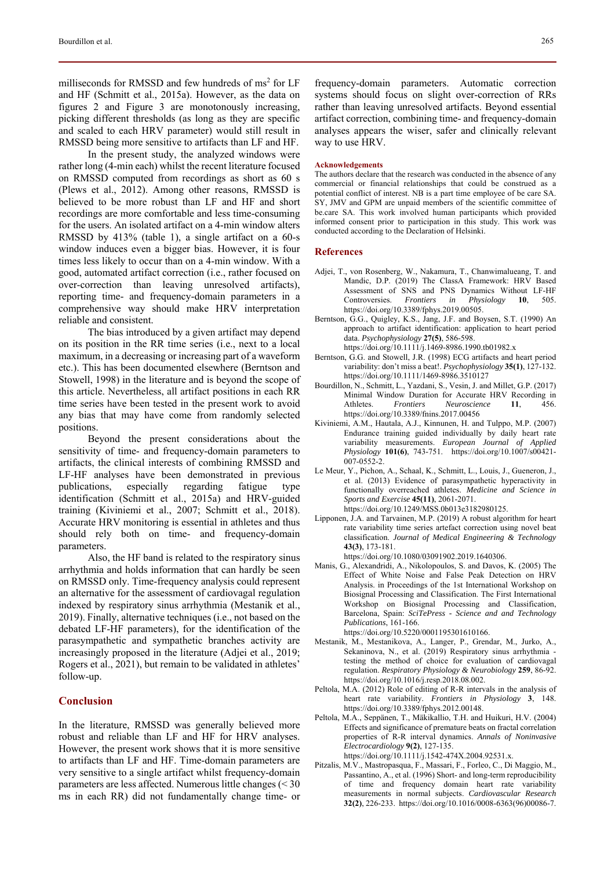milliseconds for RMSSD and few hundreds of ms<sup>2</sup> for LF and HF (Schmitt et al., 2015a). However, as the data on figures 2 and Figure 3 are monotonously increasing, picking different thresholds (as long as they are specific and scaled to each HRV parameter) would still result in RMSSD being more sensitive to artifacts than LF and HF.

In the present study, the analyzed windows were rather long (4-min each) whilst the recent literature focused on RMSSD computed from recordings as short as 60 s (Plews et al., 2012). Among other reasons, RMSSD is believed to be more robust than LF and HF and short recordings are more comfortable and less time-consuming for the users. An isolated artifact on a 4-min window alters RMSSD by 413% (table 1), a single artifact on a 60-s window induces even a bigger bias. However, it is four times less likely to occur than on a 4-min window. With a good, automated artifact correction (i.e., rather focused on over-correction than leaving unresolved artifacts), reporting time- and frequency-domain parameters in a comprehensive way should make HRV interpretation reliable and consistent.

The bias introduced by a given artifact may depend on its position in the RR time series (i.e., next to a local maximum, in a decreasing or increasing part of a waveform etc.). This has been documented elsewhere (Berntson and Stowell, 1998) in the literature and is beyond the scope of this article. Nevertheless, all artifact positions in each RR time series have been tested in the present work to avoid any bias that may have come from randomly selected positions.

Beyond the present considerations about the sensitivity of time- and frequency-domain parameters to artifacts, the clinical interests of combining RMSSD and LF-HF analyses have been demonstrated in previous publications, especially regarding fatigue type identification (Schmitt et al., 2015a) and HRV-guided training (Kiviniemi et al., 2007; Schmitt et al., 2018). Accurate HRV monitoring is essential in athletes and thus should rely both on time- and frequency-domain parameters.

Also, the HF band is related to the respiratory sinus arrhythmia and holds information that can hardly be seen on RMSSD only. Time-frequency analysis could represent an alternative for the assessment of cardiovagal regulation indexed by respiratory sinus arrhythmia (Mestanik et al., 2019). Finally, alternative techniques (i.e., not based on the debated LF-HF parameters), for the identification of the parasympathetic and sympathetic branches activity are increasingly proposed in the literature (Adjei et al., 2019; Rogers et al., 2021), but remain to be validated in athletes' follow-up.

### **Conclusion**

In the literature, RMSSD was generally believed more robust and reliable than LF and HF for HRV analyses. However, the present work shows that it is more sensitive to artifacts than LF and HF. Time-domain parameters are very sensitive to a single artifact whilst frequency-domain parameters are less affected. Numerous little changes (< 30 ms in each RR) did not fundamentally change time- or

frequency-domain parameters. Automatic correction systems should focus on slight over-correction of RRs rather than leaving unresolved artifacts. Beyond essential artifact correction, combining time- and frequency-domain analyses appears the wiser, safer and clinically relevant way to use HRV.

#### **Acknowledgements**

The authors declare that the research was conducted in the absence of any commercial or financial relationships that could be construed as a potential conflict of interest. NB is a part time employee of be care SA. SY, JMV and GPM are unpaid members of the scientific committee of be.care SA. This work involved human participants which provided informed consent prior to participation in this study. This work was conducted according to the Declaration of Helsinki.

#### **References**

- Adjei, T., von Rosenberg, W., Nakamura, T., Chanwimalueang, T. and Mandic, D.P. (2019) The ClassA Framework: HRV Based Assessment of SNS and PNS Dynamics Without LF-HF Controversies. *Frontiers in Physiology* **10**, 505. https://doi.org/10.3389/fphys.2019.00505.
- Berntson, G.G., Quigley, K.S., Jang, J.F. and Boysen, S.T. (1990) An approach to artifact identification: application to heart period data. *Psychophysiology* **27(5)**, 586-598.
	- https://doi.org/10.1111/j.1469-8986.1990.tb01982.x
- Berntson, G.G. and Stowell, J.R. (1998) ECG artifacts and heart period variability: don't miss a beat!. *Psychophysiology* **35(1)**, 127-132. https://doi.org/10.1111/1469-8986.3510127
- Bourdillon, N., Schmitt, L., Yazdani, S., Vesin, J. and Millet, G.P. (2017) Minimal Window Duration for Accurate HRV Recording in Athletes. *Frontiers Neuroscience* **11**, 456. https://doi.org/10.3389/fnins.2017.00456
- Kiviniemi, A.M., Hautala, A.J., Kinnunen, H. and Tulppo, M.P. (2007) Endurance training guided individually by daily heart rate variability measurements. *European Journal of Applied Physiology* **101(6)**, 743-751. https://doi.org/10.1007/s00421- 007-0552-2.
- Le Meur, Y., Pichon, A., Schaal, K., Schmitt, L., Louis, J., Gueneron, J., et al. (2013) Evidence of parasympathetic hyperactivity in functionally overreached athletes. *Medicine and Science in Sports and Exercise* **45(11)**, 2061-2071. https://doi.org/10.1249/MSS.0b013e3182980125.
- Lipponen, J.A. and Tarvainen, M.P. (2019) A robust algorithm for heart rate variability time series artefact correction using novel beat classification. *Journal of Medical Engineering & Technology* **43(3)**, 173-181.

https://doi.org/10.1080/03091902.2019.1640306.

Manis, G., Alexandridi, A., Nikolopoulos, S. and Davos, K. (2005) The Effect of White Noise and False Peak Detection on HRV Analysis. in Proceedings of the 1st International Workshop on Biosignal Processing and Classification. The First International Workshop on Biosignal Processing and Classification, Barcelona, Spain: *SciTePress - Science and and Technology Publications*, 161-166.

https://doi.org/10.5220/0001195301610166.

- Mestanik, M., Mestanikova, A., Langer, P., Grendar, M., Jurko, A., Sekaninova, N., et al. (2019) Respiratory sinus arrhythmia testing the method of choice for evaluation of cardiovagal regulation. *Respiratory Physiology & Neurobiology* **259**, 86-92. https://doi.org/10.1016/j.resp.2018.08.002.
- Peltola, M.A. (2012) Role of editing of R-R intervals in the analysis of heart rate variability. *Frontiers in Physiology* **3**, 148. https://doi.org/10.3389/fphys.2012.00148.
- Peltola, M.A., Seppänen, T., Mäkikallio, T.H. and Huikuri, H.V. (2004) Effects and significance of premature beats on fractal correlation properties of R-R interval dynamics. *Annals of Noninvasive Electrocardiology* **9(2)**, 127-135. https://doi.org/10.1111/j.1542-474X.2004.92531.x.
- Pitzalis, M.V., Mastropasqua, F., Massari, F., Forleo, C., Di Maggio, M., Passantino, A., et al. (1996) Short- and long-term reproducibility of time and frequency domain heart rate variability measurements in normal subjects. *Cardiovascular Research* **32(2)**, 226-233. https://doi.org/10.1016/0008-6363(96)00086-7.